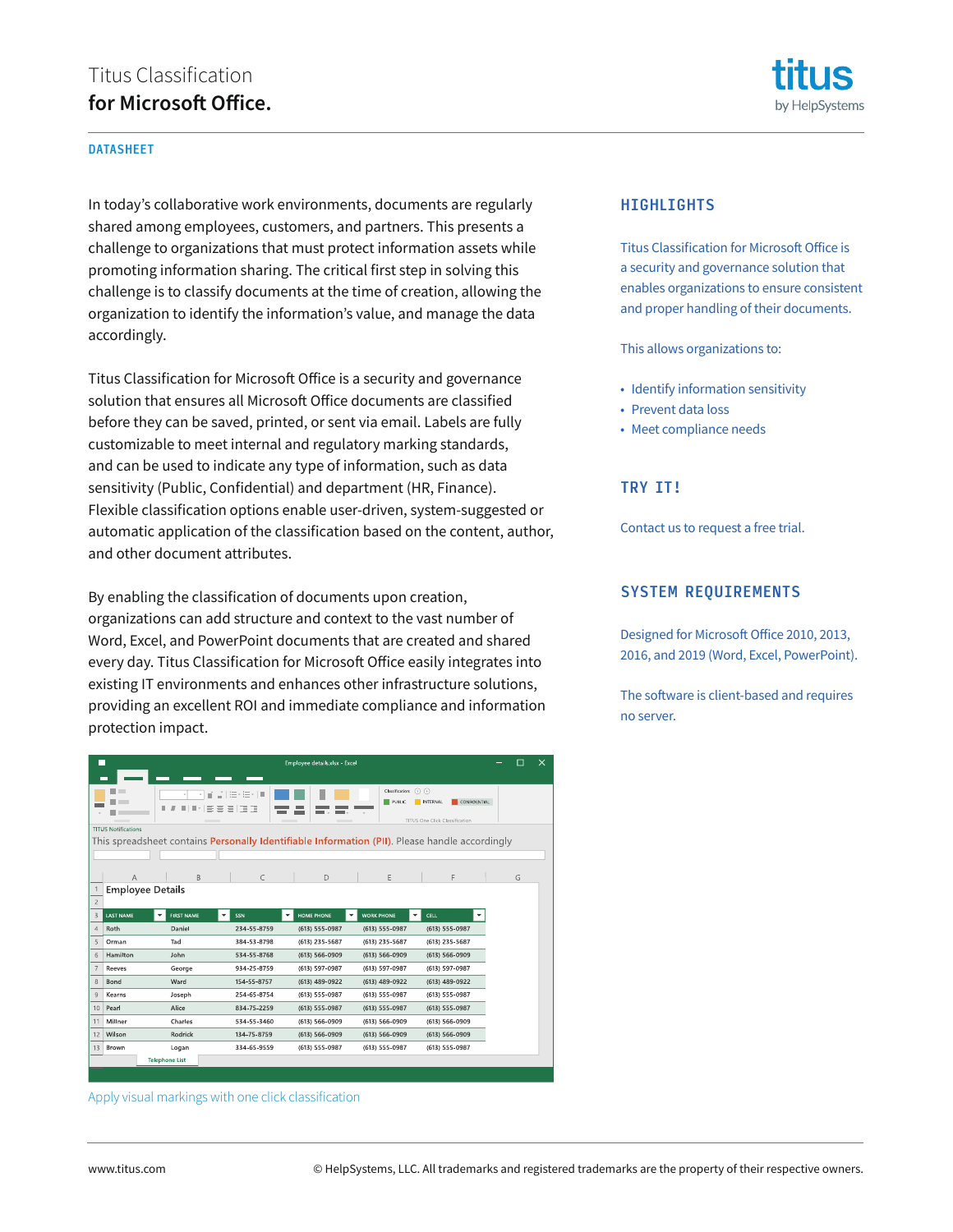# Titus Classification **for Microsoft Office.**

#### DATASHEET

In today's collaborative work environments, documents are regularly shared among employees, customers, and partners. This presents a challenge to organizations that must protect information assets while promoting information sharing. The critical first step in solving this challenge is to classify documents at the time of creation, allowing the organization to identify the information's value, and manage the data accordingly.

Titus Classification for Microsoft Office is a security and governance solution that ensures all Microsoft Office documents are classified before they can be saved, printed, or sent via email. Labels are fully customizable to meet internal and regulatory marking standards, and can be used to indicate any type of information, such as data sensitivity (Public, Confidential) and department (HR, Finance). Flexible classification options enable user-driven, system-suggested or automatic application of the classification based on the content, author, and other document attributes.

By enabling the classification of documents upon creation, organizations can add structure and context to the vast number of Word, Excel, and PowerPoint documents that are created and shared every day. Titus Classification for Microsoft Office easily integrates into existing IT environments and enhances other infrastructure solutions, providing an excellent ROI and immediate compliance and information protection impact.

|                                                                                                | П<br>Employee details.xlsx - Excel<br>$\times$ |                        |                 |                      |                                   |                                 |  |   |  |
|------------------------------------------------------------------------------------------------|------------------------------------------------|------------------------|-----------------|----------------------|-----------------------------------|---------------------------------|--|---|--|
|                                                                                                |                                                |                        |                 |                      |                                   |                                 |  |   |  |
|                                                                                                |                                                | ní                     | 狂相に順            |                      | Classification: (?) (+)<br>PUBLIC | CONFIDENTIAL<br><b>INTERNAL</b> |  |   |  |
|                                                                                                |                                                | ш                      | *   트 프 크   T T |                      |                                   |                                 |  |   |  |
|                                                                                                | <b>TITUS Notifications</b>                     |                        |                 |                      |                                   | TITUS One Click Classification  |  |   |  |
| This spreadsheet contains Personally Identifiable Information (PII). Please handle accordingly |                                                |                        |                 |                      |                                   |                                 |  |   |  |
|                                                                                                |                                                |                        |                 |                      |                                   |                                 |  |   |  |
|                                                                                                |                                                |                        | $\subset$       |                      |                                   | F                               |  |   |  |
| $\mathbf{1}$                                                                                   | Α<br><b>Employee Details</b>                   | B                      |                 | D                    | E                                 |                                 |  | G |  |
| $\overline{c}$                                                                                 |                                                |                        |                 |                      |                                   |                                 |  |   |  |
| 3                                                                                              | <b>LAST NAME</b>                               | <b>FIRST NAME</b><br>۰ | SSN<br>٠        | HOME PHONE<br>٠<br>٠ | <b>WORK PHONE</b><br>٠            | <b>CELL</b><br>۰                |  |   |  |
| $\overline{4}$                                                                                 | Roth                                           | Daniel                 | 234-55-8759     | (613) 555-0987       | (613) 555-0987                    | (613) 555-0987                  |  |   |  |
| 5                                                                                              | Orman                                          | Tad                    | 384-53-8798     | $(613)$ 235-5687     | (613) 235-5687                    | (613) 235-5687                  |  |   |  |
| 6                                                                                              | Hamilton                                       | John                   | 534-55-8768     | (613) 566-0909       | (613) 566-0909                    | $(613) 566 - 0909$              |  |   |  |
| $\overline{7}$                                                                                 | Reeves                                         | George                 | 934-25-8759     | (613) 597-0987       | (613) 597-0987                    | (613) 597-0987                  |  |   |  |
| 8                                                                                              | Bond                                           | Ward                   | 154-55-8757     | (613) 489-0922       | (613) 489-0922                    | (613) 489-0922                  |  |   |  |
| 9                                                                                              | Kearns                                         | Joseph                 | 254-65-8754     | (613) 555-0987       | (613) 555-0987                    | (613) 555-0987                  |  |   |  |
| 10                                                                                             | Pearl                                          | Alice                  | 834-75-2259     | (613) 555-0987       | (613) 555-0987                    | (613) 555-0987                  |  |   |  |
| 11                                                                                             | Millner                                        | Charles                | 534-55-3460     | (613) 566-0909       | (613) 566-0909                    | $(613) 566 - 0909$              |  |   |  |
| 12                                                                                             | Wilson                                         | Rodrick                | 134-75-8759     | (613) 566-0909       | $(613) 566 - 0909$                | $(613) 566 - 0909$              |  |   |  |
| 13                                                                                             | Brown                                          | Logan                  | 334-65-9559     | (613) 555-0987       | (613) 555-0987                    | (613) 555-0987                  |  |   |  |
|                                                                                                |                                                | <b>Telephone List</b>  |                 |                      |                                   |                                 |  |   |  |
|                                                                                                |                                                |                        |                 |                      |                                   |                                 |  |   |  |

Apply visual markings with one click classification



#### **HIGHLIGHTS**

Titus Classification for Microsoft Office is a security and governance solution that enables organizations to ensure consistent and proper handling of their documents.

This allows organizations to:

- Identify information sensitivity
- Prevent data loss
- Meet compliance needs

### TRY IT!

Contact us to request a free trial.

#### SYSTEM REQUIREMENTS

Designed for Microsoft Office 2010, 2013, 2016, and 2019 (Word, Excel, PowerPoint).

The software is client-based and requires no server.